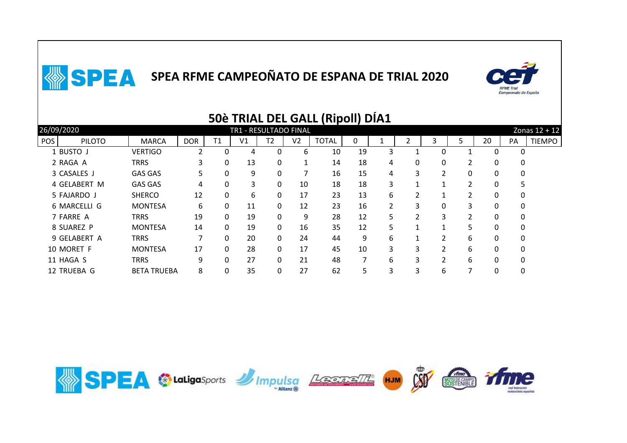

|                             |                    |            |              |                       |                |                | <b>SUE TRIAL DEL GALL (RIDOII) DIAI</b> |    |                |                        |                      |               |          |          |                 |
|-----------------------------|--------------------|------------|--------------|-----------------------|----------------|----------------|-----------------------------------------|----|----------------|------------------------|----------------------|---------------|----------|----------|-----------------|
| 26/09/2020                  |                    |            |              | TR1 - RESULTADO FINAL |                |                |                                         |    |                |                        |                      |               |          |          | Zonas $12 + 12$ |
| <b>POS</b><br><b>PILOTO</b> | <b>MARCA</b>       | <b>DOR</b> | T1           | V <sub>1</sub>        | T <sub>2</sub> | V <sub>2</sub> | <b>TOTAL</b>                            | 0  |                |                        | 3                    | 5             | 20       | PA       | <b>TIEMPO</b>   |
| 1 BUSTO J                   | <b>VERTIGO</b>     |            | 0            | 4                     | 0              | 6              | 10                                      | 19 | 3              |                        | 0                    |               | 0        | 0        |                 |
| 2 RAGA A                    | <b>TRRS</b>        | 3          | 0            | 13                    | 0              | 1              | 14                                      | 18 | 4              | 0                      | 0                    |               | 0        | 0        |                 |
| 3 CASALES J                 | <b>GAS GAS</b>     | 5          | 0            | 9                     | 0              |                | 16                                      | 15 | 4              | 3                      | 2                    | 0             | 0        | 0        |                 |
| 4 GELABERT M                | <b>GAS GAS</b>     | 4          | 0            | 3                     | 0              | 10             | 18                                      | 18 | 3              | 1                      | 1                    | $\mathcal{L}$ | 0        | 5        |                 |
| 5 FAJARDO J                 | <b>SHERCO</b>      | 12         | 0            | 6                     | 0              | 17             | 23                                      | 13 | 6              |                        |                      |               | 0        | 0        |                 |
| 6 MARCELLI G                | <b>MONTESA</b>     | 6          | 0            | 11                    | 0              | 12             | 23                                      | 16 | $\mathfrak{p}$ | 3                      | 0                    | 3             | 0        | $\Omega$ |                 |
| 7 FARRE A                   | <b>TRRS</b>        | 19         | $\mathbf{0}$ | 19                    | 0              | 9              | 28                                      | 12 | 5              | 2                      | 3                    | $\mathcal{P}$ | 0        | 0        |                 |
| 8 SUAREZ P                  | <b>MONTESA</b>     | 14         | 0            | 19                    | $\mathbf{0}$   | 16             | 35                                      | 12 | 5.             | $\mathbf{\mathcal{L}}$ | $\blacktriangleleft$ | 5.            | 0        | $\Omega$ |                 |
| 9 GELABERT A                | <b>TRRS</b>        | 7          | $\Omega$     | 20                    | $\mathbf{0}$   | 24             | 44                                      | 9  | 6              | 1                      | $\mathcal{P}$        | 6             | $\Omega$ | $\Omega$ |                 |
| 10 MORET F                  | <b>MONTESA</b>     | 17         | 0            | 28                    | 0              | 17             | 45                                      | 10 | 3              | 3                      | $\mathcal{P}$        | 6             | 0        | 0        |                 |
| 11 HAGA S                   | <b>TRRS</b>        | 9          | 0            | 27                    | 0              | 21             | 48                                      |    | 6              | 3                      | $\mathcal{P}$        | 6             | $\Omega$ | $\Omega$ |                 |
| 12 TRUEBA G                 | <b>BETA TRUEBA</b> | 8          | 0            | 35                    | 0              | 27             | 62                                      | 5  | 3              | 3                      | 6                    |               | 0        | 0        |                 |
|                             |                    |            |              |                       |                |                |                                         |    |                |                        |                      |               |          |          |                 |

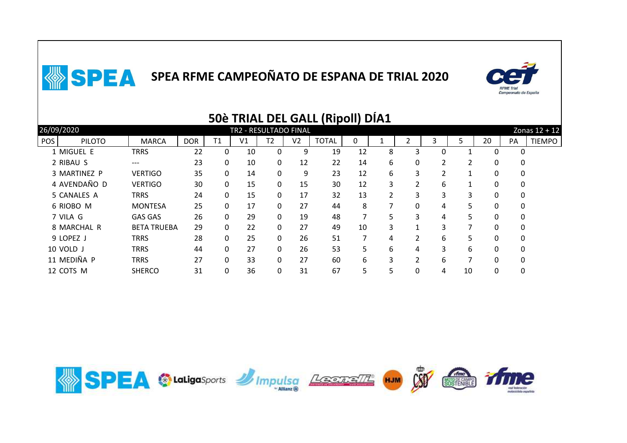

|     |               |                    |            |              |                       |                |                | <b>SUE TRIAL DEL GALL (RIDOII) DIAI</b> |    |   |                |   |    |          |    |                 |
|-----|---------------|--------------------|------------|--------------|-----------------------|----------------|----------------|-----------------------------------------|----|---|----------------|---|----|----------|----|-----------------|
|     | 26/09/2020    |                    |            |              | TR2 - RESULTADO FINAL |                |                |                                         |    |   |                |   |    |          |    | Zonas $12 + 12$ |
| POS | <b>PILOTO</b> | <b>MARCA</b>       | <b>DOR</b> | T1           | V <sub>1</sub>        | T <sub>2</sub> | V <sub>2</sub> | <b>TOTAL</b>                            | 0  |   |                | 3 | 5  | 20       | PA | <b>TIEMPO</b>   |
|     | 1 MIGUEL E    | <b>TRRS</b>        | 22         | 0            | 10                    | 0              | 9              | 19                                      | 12 | 8 | 3              |   |    | 0        |    |                 |
|     | 2 RIBAU S     | ---                | 23         | 0            | 10                    | 0              | 12             | 22                                      | 14 | 6 | 0              | 2 |    | 0        | 0  |                 |
|     | 3 MARTINEZ P  | <b>VERTIGO</b>     | 35         | 0            | 14                    | 0              | 9              | 23                                      | 12 | 6 | 3              | 2 |    | 0        | 0  |                 |
|     | 4 AVENDAÑO D  | <b>VERTIGO</b>     | 30         | $\mathbf{0}$ | 15                    | 0              | 15             | 30                                      | 12 | 3 | 2              | 6 | 1  | 0        | 0  |                 |
|     | 5 CANALES A   | <b>TRRS</b>        | 24         | 0            | 15                    | 0              | 17             | 32                                      | 13 | 2 | 3              | 3 | 3  | 0        | 0  |                 |
|     | 6 RIOBO M     | <b>MONTESA</b>     | 25         | 0            | 17                    | 0              | 27             | 44                                      | 8  | ⇁ | 0              | 4 | 5. | 0        | 0  |                 |
|     | 7 VILA G      | <b>GAS GAS</b>     | 26         | 0            | 29                    | 0              | 19             | 48                                      |    | 5 | 3              | 4 | 5. | 0        | 0  |                 |
|     | 8 MARCHAL R   | <b>BETA TRUEBA</b> | 29         | $\Omega$     | 22                    | $\mathbf{0}$   | 27             | 49                                      | 10 | 3 | 1              | 3 |    | $\Omega$ | 0  |                 |
|     | 9 LOPEZ J     | <b>TRRS</b>        | 28         | $\Omega$     | 25                    | 0              | 26             | 51                                      |    | 4 | 2              | 6 | 5. | 0        | 0  |                 |
|     | 10 VOLD J     | <b>TRRS</b>        | 44         | $\Omega$     | 27                    | $\mathbf{0}$   | 26             | 53                                      | 5. | 6 | 4              | 3 | 6  | $\Omega$ | 0  |                 |
|     | 11 MEDIÑA P   | <b>TRRS</b>        | 27         | $\Omega$     | 33                    | $\mathbf{0}$   | 27             | 60                                      | 6  | 3 | $\overline{2}$ | 6 |    | $\Omega$ | 0  |                 |
|     | 12 COTS M     | <b>SHERCO</b>      | 31         | 0            | 36                    | 0              | 31             | 67                                      | 5. | 5 | 0              | 4 | 10 | 0        | 0  |                 |

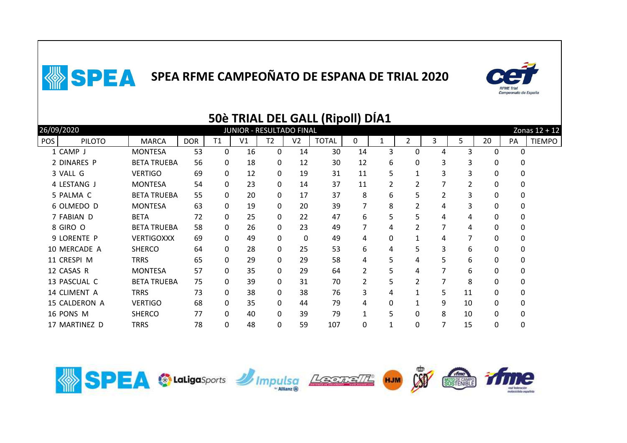

|            |               |                    |            |              |    |                          |                | 50e TRIAL DEL GALL (RIPOII) DIAI |    |    |                |   |    |          |    |               |
|------------|---------------|--------------------|------------|--------------|----|--------------------------|----------------|----------------------------------|----|----|----------------|---|----|----------|----|---------------|
|            | 26/09/2020    |                    |            |              |    | JUNIOR - RESULTADO FINAL |                |                                  |    |    |                |   |    |          |    | Zonas 12 + 12 |
| <b>POS</b> | <b>PILOTO</b> | <b>MARCA</b>       | <b>DOR</b> | T1           | V1 | T <sub>2</sub>           | V <sub>2</sub> | <b>TOTAL</b>                     | 0  | 1  | $\overline{2}$ | 3 | 5. | 20       | PA | <b>TIEMPO</b> |
|            | 1 CAMP J      | <b>MONTESA</b>     | 53         | $\mathbf{0}$ | 16 | $\Omega$                 | 14             | 30                               | 14 | 3  | 0              | 4 | 3  | $\Omega$ | 0  |               |
|            | 2 DINARES P   | <b>BETA TRUEBA</b> | 56         | 0            | 18 | 0                        | 12             | 30                               | 12 | 6  | 0              | 3 | 3  | 0        |    |               |
|            | 3 VALL G      | <b>VERTIGO</b>     | 69         | 0            | 12 | 0                        | 19             | 31                               | 11 | 5  |                | 3 | 3  | 0        |    |               |
|            | 4 LESTANG J   | <b>MONTESA</b>     | 54         | 0            | 23 | $\Omega$                 | 14             | 37                               | 11 | 2  | 2              |   | 2  | O        |    |               |
|            | 5 PALMA C     | <b>BETA TRUEBA</b> | 55         | $\mathbf{0}$ | 20 | 0                        | 17             | 37                               | 8  | 6  | 5              | 2 | 3  | 0        | 0  |               |
|            | 6 OLMEDO D    | <b>MONTESA</b>     | 63         | $\Omega$     | 19 | $\Omega$                 | 20             | 39                               |    | 8  | 2              | 4 | 3  | 0        | 0  |               |
|            | 7 FABIAN D    | <b>BETA</b>        | 72         | $\mathbf{0}$ | 25 | 0                        | 22             | 47                               | 6  | 5  | 5              | 4 | 4  | 0        | 0  |               |
|            | 8 GIRO O      | <b>BETA TRUEBA</b> | 58         | $\mathbf{0}$ | 26 | 0                        | 23             | 49                               | 7  | 4  | 2              | 7 | 4  | 0        | 0  |               |
|            | 9 LORENTE P   | <b>VERTIGOXXX</b>  | 69         | $\mathbf{0}$ | 49 | 0                        | 0              | 49                               | 4  | 0  | 1              | 4 | 7  | 0        | 0  |               |
|            | 10 MERCADE A  | <b>SHERCO</b>      | 64         | $\Omega$     | 28 | 0                        | 25             | 53                               | 6  | 4  | 5              | 3 | 6  | 0        | 0  |               |
|            | 11 CRESPI M   | <b>TRRS</b>        | 65         | $\Omega$     | 29 | $\Omega$                 | 29             | 58                               | 4  | 5. | 4              | 5 | 6  | 0        |    |               |
|            | 12 CASAS R    | <b>MONTESA</b>     | 57         | 0            | 35 | 0                        | 29             | 64                               | 2  | 5  | 4              |   | 6  | 0        |    |               |
|            | 13 PASCUAL C  | <b>BETA TRUEBA</b> | 75         | 0            | 39 | 0                        | 31             | 70                               |    | 5  | 2              |   | 8  | 0        |    |               |
|            | 14 CLIMENT A  | <b>TRRS</b>        | 73         | $\Omega$     | 38 | $\Omega$                 | 38             | 76                               | 3. | 4  |                | 5 | 11 | 0        | 0  |               |
|            | 15 CALDERON A | <b>VERTIGO</b>     | 68         | 0            | 35 | $\Omega$                 | 44             | 79                               | 4  | 0  |                | 9 | 10 | 0        | 0  |               |
|            | 16 PONS M     | <b>SHERCO</b>      | 77         | 0            | 40 | 0                        | 39             | 79                               |    | 5  | 0              | 8 | 10 | 0        | 0  |               |
|            | 17 MARTINEZ D | TRRS               | 78         | 0            | 48 | 0                        | 59             | 107                              | 0  |    | 0              | 7 | 15 | 0        | 0  |               |
|            |               |                    |            |              |    |                          |                |                                  |    |    |                |   |    |          |    |               |



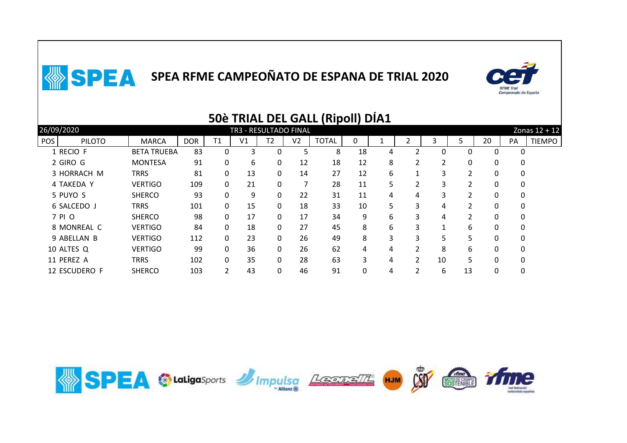

|     |               |                    |            |    |                       |                |                | <b>JUE TRIAL DEL GALL (RIDOII) DIAI</b> |    |   |               |    |                |          |          |                 |
|-----|---------------|--------------------|------------|----|-----------------------|----------------|----------------|-----------------------------------------|----|---|---------------|----|----------------|----------|----------|-----------------|
|     | 26/09/2020    |                    |            |    | TR3 - RESULTADO FINAL |                |                |                                         |    |   |               |    |                |          |          | Zonas $12 + 12$ |
| POS | <b>PILOTO</b> | <b>MARCA</b>       | <b>DOR</b> | T1 | V <sub>1</sub>        | T <sub>2</sub> | V <sub>2</sub> | <b>TOTAL</b>                            | 0  |   |               | 3  | 5              | 20       | PA       | <b>TIEMPO</b>   |
|     | 1 RECIO F     | <b>BETA TRUEBA</b> | 83         | 0  | 3                     | 0              | 5              | 8                                       | 18 | 4 |               | 0  | 0              | 0        | 0        |                 |
|     | 2 GIRO G      | <b>MONTESA</b>     | 91         | 0  | 6                     | 0              | 12             | 18                                      | 12 | 8 | 2             | 2  | 0              | 0        | 0        |                 |
|     | 3 HORRACH M   | <b>TRRS</b>        | 81         | 0  | 13                    | 0              | 14             | 27                                      | 12 | 6 |               | 3  | $\overline{2}$ | 0        | 0        |                 |
|     | 4 TAKEDA Y    | <b>VERTIGO</b>     | 109        | 0  | 21                    | 0              | 7              | 28                                      | 11 | 5 | 2             | 3  | 2              | 0        | 0        |                 |
|     | 5 PUYO S      | <b>SHERCO</b>      | 93         | 0  | 9                     | 0              | 22             | 31                                      | 11 | 4 | 4             | 3  |                | 0        | 0        |                 |
|     | 6 SALCEDO J   | <b>TRRS</b>        | 101        | 0  | 15                    | 0              | 18             | 33                                      | 10 | 5 | 3             | 4  | 2              | 0        | 0        |                 |
|     | 7 PI O        | <b>SHERCO</b>      | 98         | 0  | 17                    | 0              | 17             | 34                                      | 9  | 6 | 3             | 4  |                | 0        | 0        |                 |
|     | 8 MONREAL C   | <b>VERTIGO</b>     | 84         | 0  | 18                    | 0              | 27             | 45                                      | 8  | 6 | 3             | 1  | 6              | 0        | 0        |                 |
|     | 9 ABELLAN B   | <b>VERTIGO</b>     | 112        | 0  | 23                    | $\mathbf{0}$   | 26             | 49                                      | 8  | 3 | 3             | 5  | 5.             | 0        | 0        |                 |
|     | 10 ALTES Q    | <b>VERTIGO</b>     | 99         | 0  | 36                    | 0              | 26             | 62                                      | 4  | 4 | 2             | 8  | 6              | 0        | 0        |                 |
|     | 11 PEREZ A    | <b>TRRS</b>        | 102        | 0  | 35                    | 0              | 28             | 63                                      | 3  | 4 | $\mathcal{P}$ | 10 | 5              | $\Omega$ | $\Omega$ |                 |
|     | 12 ESCUDERO F | <b>SHERCO</b>      | 103        |    | 43                    | 0              | 46             | 91                                      | 0  | 4 | 2             | 6  | 13             | 0        | 0        |                 |
|     |               |                    |            |    |                       |                |                |                                         |    |   |               |    |                |          |          |                 |

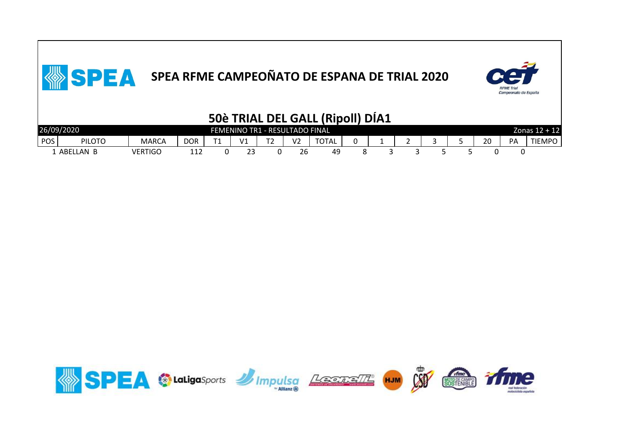

|            |               |                |     |                |    |                                |                | 50è TRIAL DEL GALL (Ripoll) DÍA1 |  |  |    |    |                 |
|------------|---------------|----------------|-----|----------------|----|--------------------------------|----------------|----------------------------------|--|--|----|----|-----------------|
|            | 26/09/2020    |                |     |                |    | FEMENINO TR1 - RESULTADO FINAL |                |                                  |  |  |    |    | Zonas $12 + 12$ |
| <b>POS</b> | <b>PILOTO</b> | <b>MARCA</b>   | DOR | T <sub>4</sub> | V1 | $T^{\prime}$                   | V <sub>2</sub> | <b>TOTAL</b>                     |  |  | 20 | PA | <b>TIEMPO</b>   |
|            | . ABELLAN B   | <b>VERTIGO</b> | 112 |                | 23 |                                | 26             | 49                               |  |  |    |    |                 |

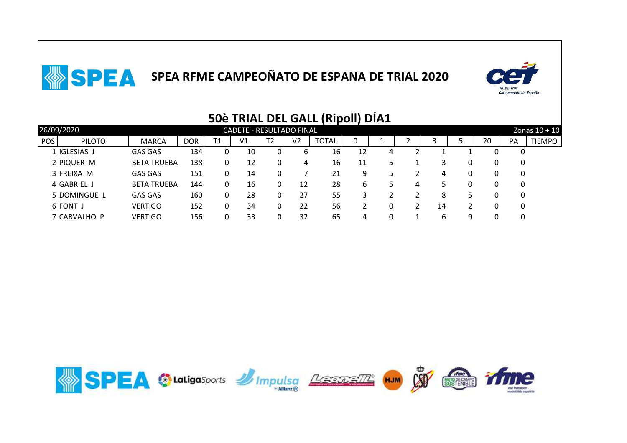

|                             |                    |            |    |                                 |    |    | JUC TIMAL DEL GALL MINOIT |    | PIAL |   |    |    |    |    |                 |
|-----------------------------|--------------------|------------|----|---------------------------------|----|----|---------------------------|----|------|---|----|----|----|----|-----------------|
| 26/09/2020                  |                    |            |    | <b>CADETE - RESULTADO FINAL</b> |    |    |                           |    |      |   |    |    |    |    | Zonas $10 + 10$ |
| <b>POS</b><br><b>PILOTO</b> | <b>MARCA</b>       | <b>DOR</b> | Τ1 | V1                              | T2 | V2 | <b>TOTAL</b>              | 0  |      |   |    | כ  | 20 | PA | <b>TIEMPO</b>   |
| 1 IGLESIAS J                | <b>GAS GAS</b>     | 134        |    | 10                              | 0  | 6  | 16                        | 12 | 4    |   |    |    |    | 0  |                 |
| 2 PIQUER M                  | <b>BETA TRUEBA</b> | 138        |    | 12                              | 0  | 4  | 16                        | 11 |      |   |    |    | 0  | 0  |                 |
| 3 FREIXA M                  | <b>GAS GAS</b>     | 151        |    | 14                              | 0  |    | 21                        | 9  |      |   | 4  |    | 0  | 0  |                 |
| 4 GABRIEL J                 | <b>BETA TRUEBA</b> | 144        | 0  | 16                              | 0  | 12 | 28                        | 6  |      | 4 |    |    | 0  | 0  |                 |
| 5 DOMINGUE L                | <b>GAS GAS</b>     | 160        | 0  | 28                              | 0  | 27 | 55                        |    |      |   | 8  | 5. | 0  | 0  |                 |
| 6 FONT J                    | <b>VERTIGO</b>     | 152        |    | 34                              | 0  | 22 | 56                        |    | 0    |   | 14 |    |    | 0  |                 |
| 7 CARVALHO P                | <b>VERTIGO</b>     | 156        |    | 33                              | 0  | 32 | 65                        | 4  | 0    |   | b  | q  | 0  | 0  |                 |
|                             |                    |            |    |                                 |    |    |                           |    |      |   |    |    |    |    |                 |

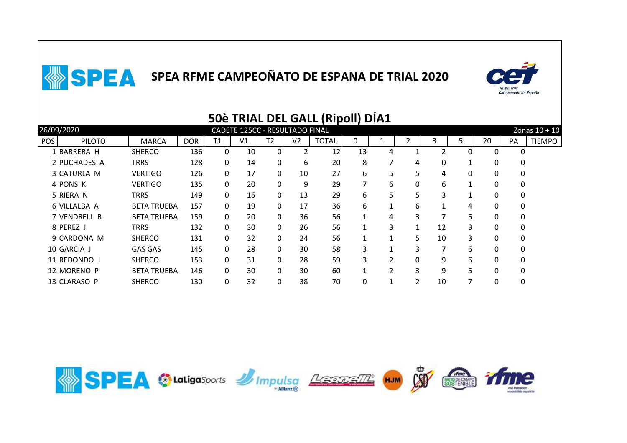

|     |               |                    |            |              |                                |                |                | SUE TNIAL DEL GALL (NIPOII) DIAI |    |                |         |    |    |    |          |                 |
|-----|---------------|--------------------|------------|--------------|--------------------------------|----------------|----------------|----------------------------------|----|----------------|---------|----|----|----|----------|-----------------|
|     | 26/09/2020    |                    |            |              | CADETE 125CC - RESULTADO FINAL |                |                |                                  |    |                |         |    |    |    |          | Zonas $10 + 10$ |
| POS | <b>PILOTO</b> | <b>MARCA</b>       | <b>DOR</b> | Τ1           | V1                             | T <sub>2</sub> | V <sub>2</sub> | <b>TOTAL</b>                     | 0  |                |         | 3. | 5  | 20 | PA       | <b>TIEMPO</b>   |
|     | 1 BARRERA H   | <b>SHERCO</b>      | 136        | $\mathbf{0}$ | 10                             | 0              | 2              | 12                               | 13 | 4              |         |    |    | 0  | $\Omega$ |                 |
|     | 2 PUCHADES A  | <b>TRRS</b>        | 128        | 0            | 14                             | $\mathbf{0}$   | 6              | 20                               | 8  | 7              | 4       | 0  |    | 0  | 0        |                 |
|     | 3 CATURLA M   | <b>VERTIGO</b>     | 126        | 0            | 17                             | $\mathbf{0}$   | 10             | 27                               | 6  | 5              | 5       | 4  | 0  | 0  | 0        |                 |
|     | 4 PONS K      | <b>VERTIGO</b>     | 135        | $\mathbf{0}$ | 20                             | $\mathbf{0}$   | 9              | 29                               |    | 6              | 0       | 6  | 1  | 0  | 0        |                 |
|     | 5 RIERA N     | <b>TRRS</b>        | 149        | 0            | 16                             | 0              | 13             | 29                               | 6  | 5              | 5       | 3  |    | 0  | 0        |                 |
|     | 6 VILLALBA A  | <b>BETA TRUEBA</b> | 157        | 0            | 19                             | $\mathbf{0}$   | 17             | 36                               | 6  |                | 6       |    | 4  | 0  | 0        |                 |
|     | 7 VENDRELL B  | <b>BETA TRUEBA</b> | 159        | 0            | 20                             | $\mathbf{0}$   | 36             | 56                               |    | 4              | 3       | ⇁  | 5. | 0  | 0        |                 |
|     | 8 PEREZ J     | <b>TRRS</b>        | 132        | 0            | 30                             | $\mathbf{0}$   | 26             | 56                               |    | 3              | 1<br>Ŧ. | 12 | 3  | 0  | 0        |                 |
|     | 9 CARDONA M   | <b>SHERCO</b>      | 131        | $\Omega$     | 32                             | $\mathbf{0}$   | 24             | 56                               |    |                | 5       | 10 | 3  | 0  | 0        |                 |
|     | 10 GARCIA J   | <b>GAS GAS</b>     | 145        | 0            | 28                             | $\mathbf{0}$   | 30             | 58                               |    |                | 3       |    | 6  | 0  | 0        |                 |
|     | 11 REDONDO J  | <b>SHERCO</b>      | 153        | $\Omega$     | 31                             | $\mathbf{0}$   | 28             | 59                               | 3  | 2              | 0       | 9  | 6  | 0  | 0        |                 |
|     | 12 MORENO P   | <b>BETA TRUEBA</b> | 146        | $\Omega$     | 30                             | $\mathbf{0}$   | 30             | 60                               |    | $\mathfrak{p}$ | 3       | 9  | 5  | 0  | 0        |                 |
|     | 13 CLARASO P  | <b>SHERCO</b>      | 130        | 0            | 32                             | 0              | 38             | 70                               | 0  |                | 2       | 10 |    | 0  | 0        |                 |
|     |               |                    |            |              |                                |                |                |                                  |    |                |         |    |    |    |          |                 |

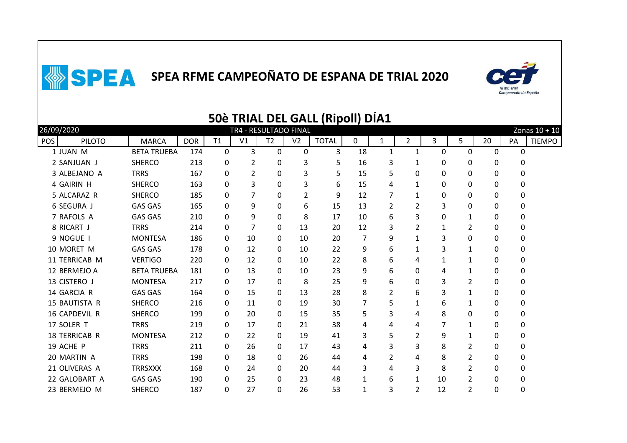

|            |                      |                    |            |              |                |                       |                | <b>50è TRIAL DEL GALL (Ripoll) DIA1</b> |    |                |                |              |                |    |    |               |
|------------|----------------------|--------------------|------------|--------------|----------------|-----------------------|----------------|-----------------------------------------|----|----------------|----------------|--------------|----------------|----|----|---------------|
|            | 26/09/2020           |                    |            |              |                | TR4 - RESULTADO FINAL |                |                                         |    |                |                |              |                |    |    | Zonas 10 + 10 |
| <b>POS</b> | <b>PILOTO</b>        | <b>MARCA</b>       | <b>DOR</b> | T1           | V <sub>1</sub> | T <sub>2</sub>        | V <sub>2</sub> | <b>TOTAL</b>                            | 0  | $\mathbf{1}$   | $\overline{2}$ | 3            | 5              | 20 | PA | <b>TIEMPO</b> |
|            | 1 JUAN M             | <b>BETA TRUEBA</b> | 174        | 0            | 3              | $\mathbf 0$           | $\mathbf 0$    | 3                                       | 18 | $\mathbf{1}$   | $\mathbf{1}$   | 0            | 0              | 0  | 0  |               |
|            | 2 SANJUAN J          | <b>SHERCO</b>      | 213        | 0            | $\overline{2}$ | 0                     | 3              | 5                                       | 16 | 3              | 1              | 0            | 0              | 0  | 0  |               |
|            | 3 ALBEJANO A         | <b>TRRS</b>        | 167        | 0            | 2              | 0                     | 3              | 5.                                      | 15 | 5              | 0              | 0            | 0              | 0  | 0  |               |
|            | 4 GAIRIN H           | <b>SHERCO</b>      | 163        | $\Omega$     | 3              | 0                     | 3              | 6                                       | 15 | 4              | 1              | 0            | 0              | 0  | 0  |               |
|            | 5 ALCARAZ R          | <b>SHERCO</b>      | 185        | $\Omega$     | 7              | 0                     | 2              | 9                                       | 12 |                | 1              | 0            | 0              | 0  | 0  |               |
|            | <b>6 SEGURA J</b>    | <b>GAS GAS</b>     | 165        | 0            | 9              | 0                     | 6              | 15                                      | 13 | 2              | 2              | 3            | 0              | 0  | 0  |               |
|            | 7 RAFOLS A           | <b>GAS GAS</b>     | 210        | 0            | 9              | 0                     | 8              | 17                                      | 10 | 6              | 3              | 0            | 1              | 0  | 0  |               |
|            | 8 RICART J           | <b>TRRS</b>        | 214        | 0            | $\overline{7}$ | 0                     | 13             | 20                                      | 12 | 3              | $\overline{2}$ | $\mathbf{1}$ | $\overline{2}$ | 0  | 0  |               |
|            | 9 NOGUE I            | <b>MONTESA</b>     | 186        | $\mathbf{0}$ | 10             | 0                     | 10             | 20                                      | 7  | 9              | $\mathbf{1}$   | 3            | 0              | 0  | 0  |               |
|            | 10 MORET M           | <b>GAS GAS</b>     | 178        | 0            | 12             | 0                     | 10             | 22                                      | 9  | 6              | 1              | 3            | 1              | 0  | 0  |               |
|            | 11 TERRICAB M        | <b>VERTIGO</b>     | 220        | 0            | 12             | 0                     | 10             | 22                                      | 8  | 6              | 4              | 1            | 1              | 0  | 0  |               |
|            | 12 BERMEJO A         | <b>BETA TRUEBA</b> | 181        | 0            | 13             | $\Omega$              | 10             | 23                                      | 9  | 6              | 0              | 4            | 1              | 0  | 0  |               |
|            | 13 CISTERO J         | <b>MONTESA</b>     | 217        | $\Omega$     | 17             | 0                     | 8              | 25                                      | 9  | 6              | 0              | 3            | 2              | 0  | 0  |               |
|            | 14 GARCIA R          | <b>GAS GAS</b>     | 164        | 0            | 15             | 0                     | 13             | 28                                      | 8  | 2              | 6              | 3            | $\mathbf{1}$   | 0  | 0  |               |
|            | 15 BAUTISTA R        | <b>SHERCO</b>      | 216        | 0            | 11             | 0                     | 19             | 30                                      | 7  | 5              | 1              | 6            | 1              | 0  | 0  |               |
|            | 16 CAPDEVIL R        | <b>SHERCO</b>      | 199        | $\mathbf{0}$ | 20             | 0                     | 15             | 35                                      | 5  | 3              | 4              | 8            | 0              | 0  | 0  |               |
|            | 17 SOLER T           | <b>TRRS</b>        | 219        | $\mathbf{0}$ | 17             | 0                     | 21             | 38                                      | 4  | 4              | 4              | 7            | $\mathbf{1}$   | 0  | 0  |               |
|            | <b>18 TERRICAB R</b> | <b>MONTESA</b>     | 212        | 0            | 22             | 0                     | 19             | 41                                      | 3  | 5              | 2              | 9            | 1              | 0  | 0  |               |
|            | 19 ACHE P            | <b>TRRS</b>        | 211        | 0            | 26             | 0                     | 17             | 43                                      | 4  | 3              | 3              | 8            | 2              | 0  | 0  |               |
|            | 20 MARTIN A          | <b>TRRS</b>        | 198        | $\Omega$     | 18             | 0                     | 26             | 44                                      | 4  | $\overline{2}$ | 4              | 8            | 2              | 0  | 0  |               |
|            | 21 OLIVERAS A        | <b>TRRSXXX</b>     | 168        | 0            | 24             | 0                     | 20             | 44                                      | 3  | 4              | 3              | 8            | $\overline{2}$ | 0  | 0  |               |
|            | 22 GALOBART A        | <b>GAS GAS</b>     | 190        | 0            | 25             | 0                     | 23             | 48                                      | 1  | 6              | 1              | 10           | $\overline{2}$ | 0  | 0  |               |
|            | 23 BERMEJO M         | <b>SHERCO</b>      | 187        | 0            | 27             | 0                     | 26             | 53                                      | 1  | 3              | 2              | 12           | $\overline{2}$ | 0  | 0  |               |
|            |                      |                    |            |              |                |                       |                |                                         |    |                |                |              |                |    |    |               |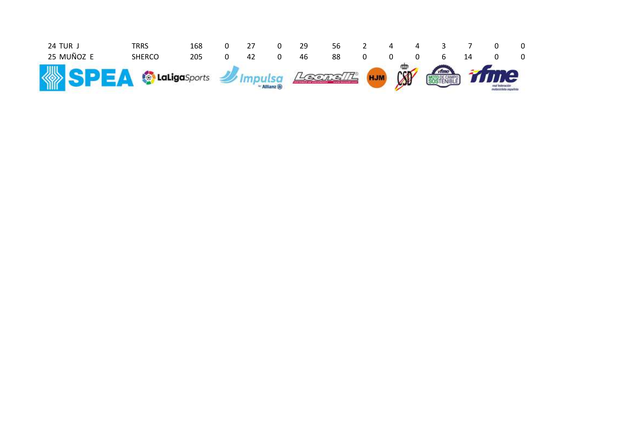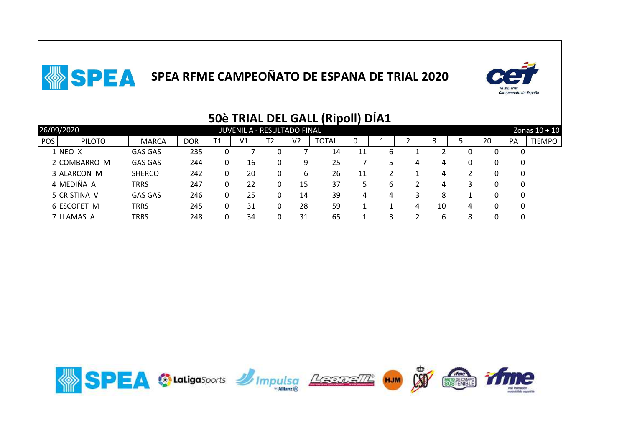

|                             |                |            |    |                             |                |                | ,,,,,,,,,    |    | ---- |   |    |   |    |    |                 |
|-----------------------------|----------------|------------|----|-----------------------------|----------------|----------------|--------------|----|------|---|----|---|----|----|-----------------|
| 26/09/2020                  |                |            |    | JUVENIL A - RESULTADO FINAL |                |                |              |    |      |   |    |   |    |    | Zonas $10 + 10$ |
| <b>POS</b><br><b>PILOTO</b> | <b>MARCA</b>   | <b>DOR</b> | Τ1 | V1                          | T <sub>2</sub> | V <sub>2</sub> | <b>TOTAL</b> | 0  |      |   |    |   | 20 | PA | <b>TIEMPO</b>   |
| 1 NEO X                     | <b>GAS GAS</b> | 235        |    |                             |                |                | 14           | 11 | 6    |   |    |   |    |    |                 |
| 2 COMBARRO M                | <b>GAS GAS</b> | 244        | 0  | 16                          | 0              | 9              | 25           |    |      | 4 | 4  |   |    | 0  |                 |
| 3 ALARCON M                 | <b>SHERCO</b>  | 242        |    | 20                          | 0              | 6              | 26           | 11 |      |   | 4  |   |    | 0  |                 |
| 4 MEDIÑA A                  | <b>TRRS</b>    | 247        |    | 22                          | 0              | 15             | 37           |    | b    |   | 4  |   |    | 0  |                 |
| 5 CRISTINA V                | <b>GAS GAS</b> | 246        |    | 25                          | 0              | 14             | 39           | 4  | 4    |   | 8  |   |    |    |                 |
| 6 ESCOFET M                 | TRRS           | 245        |    | 31                          | 0              | 28             | 59           |    |      | 4 | 10 | 4 |    |    |                 |
| 7 LLAMAS A                  | TRRS           | 248        |    | 34                          | 0              | 31             | 65           |    |      |   | 6  | 8 |    |    |                 |
|                             |                |            |    |                             |                |                |              |    |      |   |    |   |    |    |                 |

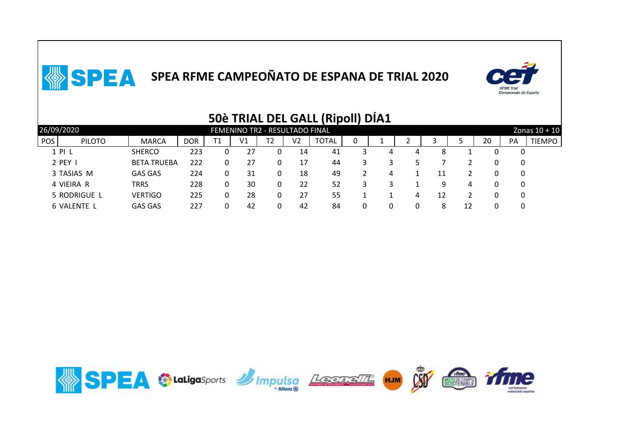

|            |               |                    |            |    |                                |                |                | ----<br>. <i>.</i> |   |   |   |    |    |    |          |                 |
|------------|---------------|--------------------|------------|----|--------------------------------|----------------|----------------|--------------------|---|---|---|----|----|----|----------|-----------------|
|            | 26/09/2020    |                    |            |    | FEMENINO TR2 - RESULTADO FINAL |                |                |                    |   |   |   |    |    |    |          | Zonas $10 + 10$ |
| <b>POS</b> | <b>PILOTO</b> | <b>MARCA</b>       | <b>DOR</b> | Τ1 | V <sub>1</sub>                 | T <sub>2</sub> | V <sub>2</sub> | <b>TOTAL</b>       | 0 |   |   |    |    | 20 | PA       | <b>TIEMPO</b>   |
|            | 1 PI L        | <b>SHERCO</b>      | 223        |    | 27                             | 0              | 14             | 41                 |   | 4 | 4 | 8  |    |    |          |                 |
|            | 2 PEY I       | <b>BETA TRUEBA</b> | 222        |    | 27                             | 0              | 17             | 44                 |   |   |   |    |    |    | 0        |                 |
|            | 3 TASIAS M    | <b>GAS GAS</b>     | 224        |    | 31                             | 0              | 18             | 49                 |   | 4 |   | 11 |    |    | $\Omega$ |                 |
|            | 4 VIEIRA R    | TRRS               | 228        | 0  | 30                             | 0              | 22             | 52                 |   |   |   | 9  | 4  |    | $\Omega$ |                 |
|            | 5 RODRIGUE L  | <b>VERTIGO</b>     | 225        |    | 28                             | 0              | 27             | 55                 |   |   | 4 | 12 |    |    | 0        |                 |
|            | 6 VALENTE L   | <b>GAS GAS</b>     | 227        |    | 42                             |                | 42             | 84                 |   |   |   | 8  | 12 |    |          |                 |
|            |               |                    |            |    |                                |                |                |                    |   |   |   |    |    |    |          |                 |

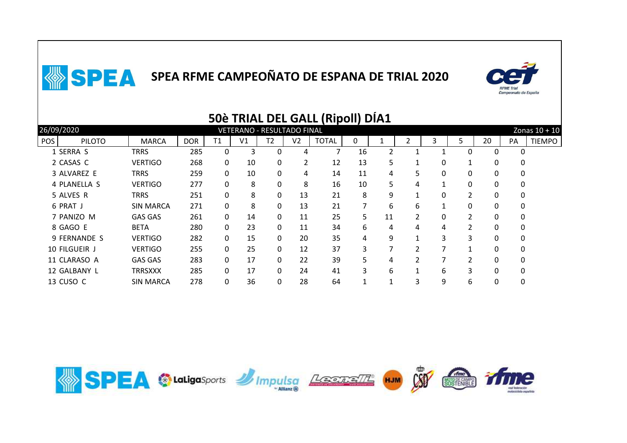

|                             |                  |            |    |                                   |              |                | <b>SUE TRIAL DEL GALL (RIDOII) DIAT</b> |    |    |                |   |                |    |          |                 |
|-----------------------------|------------------|------------|----|-----------------------------------|--------------|----------------|-----------------------------------------|----|----|----------------|---|----------------|----|----------|-----------------|
| 26/09/2020                  |                  |            |    | <b>VETERANO - RESULTADO FINAL</b> |              |                |                                         |    |    |                |   |                |    |          | Zonas $10 + 10$ |
| <b>POS</b><br><b>PILOTO</b> | <b>MARCA</b>     | <b>DOR</b> | T1 | V1                                | T2           | V <sub>2</sub> | <b>TOTAL</b>                            | 0  |    |                | 3 | 5              | 20 | PA       | <b>TIEMPO</b>   |
| 1 SERRA S                   | TRRS             | 285        | 0  | 3                                 | 0            | 4              |                                         | 16 | 2  |                |   | $\Omega$       | 0  | 0        |                 |
| 2 CASAS C                   | <b>VERTIGO</b>   | 268        | 0  | 10                                | 0            | $\overline{2}$ | 12                                      | 13 | 5  |                | 0 |                | 0  | 0        |                 |
| 3 ALVAREZ E                 | <b>TRRS</b>      | 259        | 0  | 10                                | 0            | 4              | 14                                      | 11 | 4  | 5.             | 0 | 0              | 0  | 0        |                 |
| 4 PLANELLA S                | <b>VERTIGO</b>   | 277        | 0  | 8                                 | $\mathbf{0}$ | 8              | 16                                      | 10 | 5  | 4              | 1 | 0              | 0  | 0        |                 |
| 5 ALVES R                   | <b>TRRS</b>      | 251        | 0  | 8                                 | 0            | 13             | 21                                      | 8  | 9  | 1              | 0 | 2              | 0  | 0        |                 |
| 6 PRAT J                    | <b>SIN MARCA</b> | 271        | 0  | 8                                 | $\mathbf{0}$ | 13             | 21                                      |    | 6  | 6              |   | $\Omega$       | 0  | 0        |                 |
| 7 PANIZO M                  | <b>GAS GAS</b>   | 261        | 0  | 14                                | 0            | 11             | 25                                      | 5. | 11 | 2              | 0 | $\overline{2}$ | 0  | 0        |                 |
| 8 GAGO E                    | <b>BETA</b>      | 280        | 0  | 23                                | 0            | 11             | 34                                      | 6  | 4  | 4              | 4 | 2              | 0  | 0        |                 |
| 9 FERNANDE S                | <b>VERTIGO</b>   | 282        | 0  | 15                                | $\mathbf{0}$ | 20             | 35                                      | 4  | 9  | 1              | 3 | 3              | 0  | $\Omega$ |                 |
| 10 FILGUEIR J               | <b>VERTIGO</b>   | 255        | 0  | 25                                | 0            | 12             | 37                                      | 3. | 7  | 2              | 7 |                | 0  | 0        |                 |
| 11 CLARASO A                | <b>GAS GAS</b>   | 283        | 0  | 17                                | $\mathbf{0}$ | 22             | 39                                      | 5. | 4  | $\mathfrak{p}$ |   | $\mathcal{P}$  | 0  | 0        |                 |
| 12 GALBANY L                | <b>TRRSXXX</b>   | 285        | 0  | 17                                | $\mathbf{0}$ | 24             | 41                                      | 3  | 6  | 1              | 6 | 3              | 0  | $\Omega$ |                 |
| 13 CUSO C                   | <b>SIN MARCA</b> | 278        | 0  | 36                                | 0            | 28             | 64                                      |    | 1  | 3              | 9 | 6              | 0  | 0        |                 |
|                             |                  |            |    |                                   |              |                |                                         |    |    |                |   |                |    |          |                 |

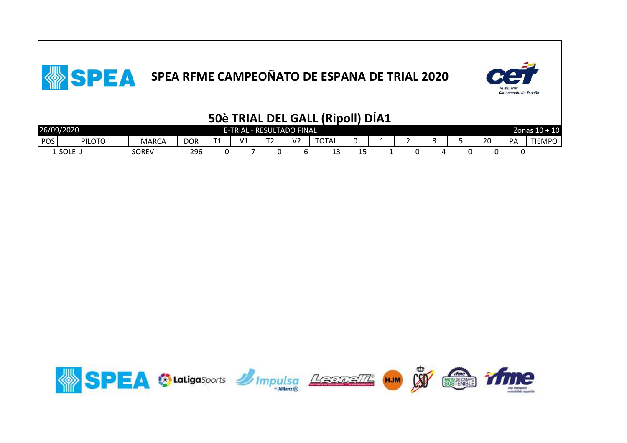

|            |               |              |     |                           |   |    | 50è TRIAL DEL GALL (Ripoll) DIA1 |    |  |  |    |    |                 |
|------------|---------------|--------------|-----|---------------------------|---|----|----------------------------------|----|--|--|----|----|-----------------|
| 26/09/2020 |               |              |     | E-TRIAL - RESULTADO FINAL |   |    |                                  |    |  |  |    |    | Zonas $10 + 10$ |
| POS        | <b>PILOTO</b> | <b>MARCA</b> | DOR | V1                        | ▵ | V2 | <b>TOTAL</b>                     |    |  |  | 20 | PA | TIEMPO          |
|            | 1 SOLE        | SOREV        | 296 |                           |   |    | ∸                                | כו |  |  |    |    |                 |

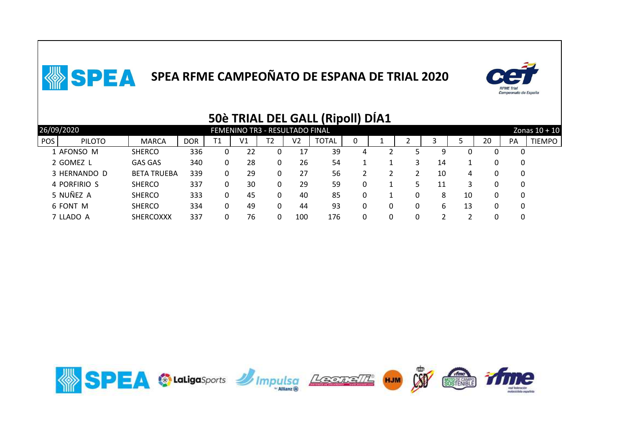

|                             |                    |                                |    |                |    |     | 995 THURE PEE 97 IEE (TURVIL) |   | ---- |                 |    |    |    |    |               |  |  |
|-----------------------------|--------------------|--------------------------------|----|----------------|----|-----|-------------------------------|---|------|-----------------|----|----|----|----|---------------|--|--|
| 26/09/2020                  |                    | FEMENINO TR3 - RESULTADO FINAL |    |                |    |     |                               |   |      | Zonas $10 + 10$ |    |    |    |    |               |  |  |
| <b>POS</b><br><b>PILOTO</b> | <b>MARCA</b>       | <b>DOR</b>                     | Τ1 | V <sub>1</sub> | Т2 | V2  | <b>TOTAL</b>                  | 0 |      |                 |    |    | 20 | PA | <b>TIEMPO</b> |  |  |
| 1 AFONSO M                  | <b>SHERCO</b>      | 336                            |    | 22             |    | 17  | 39                            | 4 |      |                 | q  |    |    |    |               |  |  |
| 2 GOMEZ L                   | <b>GAS GAS</b>     | 340                            |    | 28             | 0  | 26  | 54                            |   |      |                 | 14 |    |    | 0  |               |  |  |
| 3 HERNANDO D                | <b>BETA TRUEBA</b> | 339                            |    | 29             | 0  | 27  | 56                            |   |      |                 | 10 | 4  |    | 0  |               |  |  |
| 4 PORFIRIO S                | <b>SHERCO</b>      | 337                            |    | 30             | 0  | 29  | 59                            |   |      | 5.              | 11 |    |    | 0  |               |  |  |
| 5 NUÑEZ A                   | <b>SHERCO</b>      | 333                            |    | 45             | 0  | 40  | 85                            |   |      | 0               | 8  | 10 |    | 0  |               |  |  |
| 6 FONT M                    | <b>SHERCO</b>      | 334                            |    | 49             | 0  | 44  | 93                            |   |      | 0               | 6  | 13 |    |    |               |  |  |
| 7 LLADO A                   | <b>SHERCOXXX</b>   | 337                            |    | 76             | 0  | 100 | 176                           |   |      | -0              |    |    |    |    |               |  |  |
|                             |                    |                                |    |                |    |     |                               |   |      |                 |    |    |    |    |               |  |  |